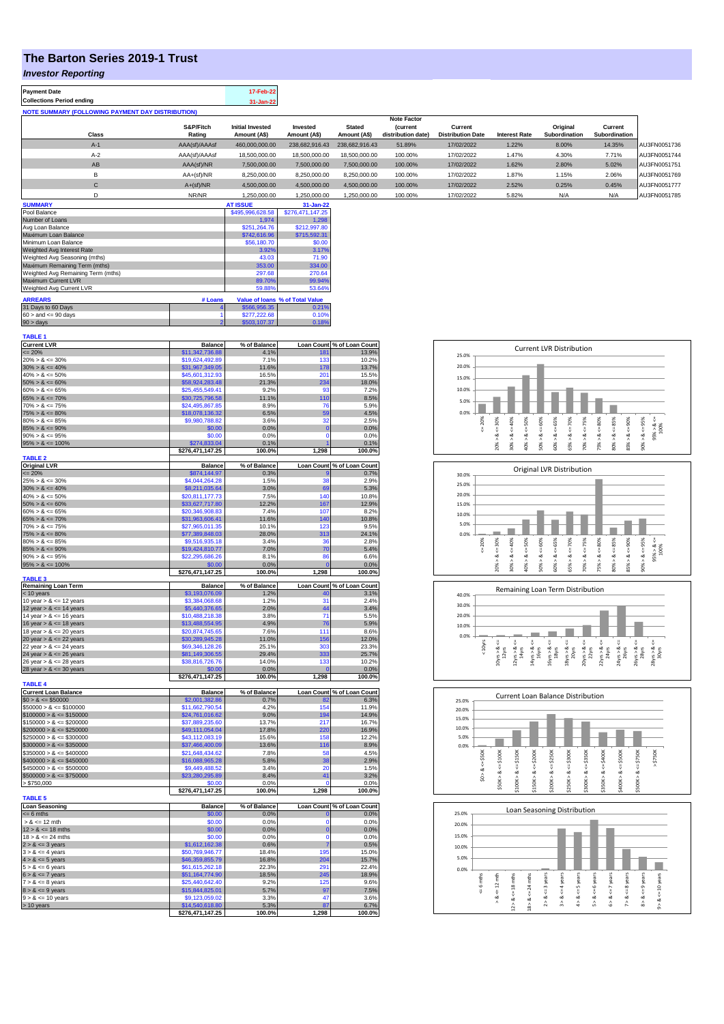## **The Barton Series 2019-1 Trust**

## *Investor Reporting*

| <b>Payment Date</b>              | 17-Feb-22 |
|----------------------------------|-----------|
| <b>Collections Period ending</b> | 31-Jan-22 |
|                                  |           |

| <b>NOTE SUMMARY (FOLLOWING PAYMENT DAY DISTRIBUTION)</b> |                     |                                         |                          |                               |                                                             |                                     |                      |                           |                          |              |
|----------------------------------------------------------|---------------------|-----------------------------------------|--------------------------|-------------------------------|-------------------------------------------------------------|-------------------------------------|----------------------|---------------------------|--------------------------|--------------|
| Class                                                    | S&P/Fitch<br>Rating | <b>Initial Invested</b><br>Amount (A\$) | Invested<br>Amount (A\$) | <b>Stated</b><br>Amount (A\$) | <b>Note Factor</b><br><i>(current</i><br>distribution date) | Current<br><b>Distribution Date</b> | <b>Interest Rate</b> | Original<br>Subordination | Current<br>Subordination |              |
| $A-1$                                                    | AAA(sf)/AAAsf       | 460,000,000.00                          | 238,682,916.43           | 238.682.916.43                | 51.89%                                                      | 17/02/2022                          | 1.22%                | 8.00%                     | 14.35%                   | AU3FN0051736 |
| $A-2$                                                    | AAA(sf)/AAAsf       | 18,500,000.00                           | 18,500,000,00            | 18,500,000,00                 | 100.00%                                                     | 17/02/2022                          | 1.47%                | 4.30%                     | 7.71%                    | AU3FN0051744 |
| AB                                                       | AAA(sf)/NR          | 7,500,000.00                            | 7,500,000.00             | 7,500,000.00                  | 100.00%                                                     | 17/02/2022                          | 1.62%                | 2.80%                     | 5.02%                    | AU3FN0051751 |
| B                                                        | $AA+(sf)/NR$        | 8,250,000.00                            | 8,250,000.00             | 8,250,000.00                  | 100.00%                                                     | 17/02/2022                          | 1.87%                | 1.15%                     | 2.06%                    | AU3FN0051769 |
| $\mathbf{C}$                                             | $A+(sf)/NR$         | 4.500.000.00                            | 4.500.000.00             | 4.500.000.00                  | 100.00%                                                     | 17/02/2022                          | 2.52%                | 0.25%                     | 0.45%                    | AU3FN0051777 |
|                                                          | NR/NR               | 1.250.000.00                            | 1.250.000.00             | 1.250.000.00                  | 100.00%                                                     | 17/02/2022                          | 5.82%                | N/A                       | N/A                      | AU3FN0051785 |

| <b>SUMMARY</b>                     |                | <b>AT ISSUE</b>  | $31 - Jan-22$                   |
|------------------------------------|----------------|------------------|---------------------------------|
| Pool Balance                       |                | \$495,996,628.58 | \$276,471,147.25                |
| Number of Loans                    |                | 1.974            | 1.298                           |
| Avg Loan Balance                   |                | \$251.264.76     | \$212,997.80                    |
| Maximum Loan Balance               |                | \$742,616.96     | \$715,592.31                    |
| Minimum Loan Balance               |                | \$56,180.70      | \$0.00                          |
| Weighted Avg Interest Rate         |                | 3.92%            | 3.17%                           |
| Weighted Avg Seasoning (mths)      |                | 43.03            | 71.90                           |
| Maximum Remaining Term (mths)      |                | 353.00           | 334.00                          |
| Weighted Avg Remaining Term (mths) |                | 297.68           | 270.64                          |
| Maximum Current LVR                |                | 89.70%           | 99.94%                          |
| Weighted Avg Current LVR           |                | 59.88%           | 53.64%                          |
| <b>ARREARS</b>                     | # Loans        |                  | Value of Ioans % of Total Value |
| 31 Days to 60 Days                 |                | \$566,956.35     | 0.21%                           |
| $60 >$ and $\leq 90$ days          |                | \$277.222.68     | 0.10%                           |
| $90 >$ days                        | $\overline{2}$ | \$503.107.37     | 0.18%                           |

| <b>TABLE 1</b>                                           |                                    |                      |                  |                                         |
|----------------------------------------------------------|------------------------------------|----------------------|------------------|-----------------------------------------|
| <b>Current LVR</b><br>$= 20%$                            | <b>Balance</b><br>\$11,342,736.88  | % of Balance<br>4.1% |                  | Loan Count % of Loan Count<br>181 13.9% |
| $20\% > 8 \le 30\%$                                      | \$19,624,492.89                    | 7.1%                 | 133              | 10.2%                                   |
| $30\% > 8 \le 40\%$                                      | \$31,967,349.05                    | 11.6%                | 178              | 13.7%                                   |
| $40\% > 8 \le 50\%$                                      | \$45,601,312.93                    | 16.5%                | 201              | 15.5%                                   |
| $50\% > 8 \le 60\%$                                      | \$58,924,283.48                    | 21.3%                | 234              | 18.0%                                   |
| $60\% > 8 \le 65\%$                                      | \$25,455,549.41                    | 9.2%                 | 93               | 7.2%                                    |
| $65\% > 8 \le 70\%$                                      | \$30,725,796.58                    | 11.1%                | 110              | 8.5%                                    |
| $70\% > 8 \le 75\%$                                      | \$24,495,867.85                    | 8.9%                 | 76               | 5.9%                                    |
| $75\% > 8 \le 80\%$                                      | \$18,078,136.32                    | 6.5%                 | 59               | 4.5%                                    |
| $80\% > 8 \le 85\%$                                      | \$9,980,788.82                     | 3.6%                 | 32               | 2.5%                                    |
| $85\% > 8 \le 90\%$<br>$90\% > 8 \le 95\%$               | \$0.00<br>\$0.00                   | 0.0%<br>0.0%         | $\mathbf 0$<br>0 | 0.0%<br>0.0%                            |
| $95\% > 8 \le 100\%$                                     | \$274,833.04                       | 0.1%                 |                  | 0.1%                                    |
|                                                          | \$276,471,147.25                   | 100.0%               | 1,298            | 100.0%                                  |
| <b>TABLE 2</b>                                           |                                    |                      |                  |                                         |
| <b>Original LVR</b>                                      | <b>Balance</b>                     | % of Balance         |                  | Loan Count % of Loan Count              |
| $= 20%$                                                  | \$874,144.97                       | 0.3%                 |                  | 0.7%                                    |
| $25\% > 8 \le 30\%$                                      | \$4,044,264.28                     | 1.5%                 | 38               | 2.9%                                    |
| $30\% > 8 \le 40\%$                                      | \$8,211,035.64                     | 3.0%                 | 69               | 5.3%                                    |
| $40\% > 8 \le 50\%$<br>$50\% > 8 \le 60\%$               | \$20,811,177.73<br>\$33,627,717.80 | 7.5%<br>12.2%        | 140<br>167       | 10.8%<br>12.9%                          |
| $60\% > 8 \le 65\%$                                      | \$20,346,908.83                    | 7.4%                 | 107              | 8.2%                                    |
| $65\% > 8 \le 70\%$                                      | \$31,963,606.41                    | 11.6%                | 140              | 10.8%                                   |
| $70\% > 8 \le 75\%$                                      | \$27,965,011.35                    | 10.1%                | 123              | 9.5%                                    |
| $75\% > 8 \le 80\%$                                      | \$77,389,848.03                    | 28.0%                | 313              | 24.1%                                   |
| $80\% > 8 \le 85\%$                                      | \$9,516,935.18                     | 3.4%                 | 36               | 2.8%                                    |
| $85\% > 8 \le 90\%$                                      | \$19,424,810.77                    | 7.0%                 | 70               | 5.4%                                    |
| $90\% > 8 \le 95\%$                                      | \$22,295,686.26                    | 8.1%                 | 86               | 6.6%                                    |
| $95\% > 8 \le 100\%$                                     | \$0.00                             | 0.0%                 |                  | 0.0%                                    |
| <b>TABLE 3</b>                                           | \$276,471,147.25                   | 100.0%               | 1,298            | 100.0%                                  |
| <b>Remaining Loan Term</b>                               | <b>Balance</b>                     | % of Balance         |                  | Loan Count % of Loan Count              |
| < 10 years                                               | \$3,193,076.09                     | 1.2%                 |                  | 3.1%                                    |
| 10 year $> 8 \le 12$ years                               | \$3,384,068.68                     | 1.2%                 | 31               | 2.4%                                    |
| 12 year $> 8 \le 14$ years                               | \$5,440,376.65                     | 2.0%                 | 44               | 3.4%                                    |
| 14 year $> 8 \le 16$ years                               | \$10,488,218.38                    | 3.8%                 | 71               | 5.5%                                    |
| 16 year $> 8 \le 18$ years                               | \$13,488,554.95<br>\$20,874,745.65 | 4.9%<br>7.6%         | 76<br>111        | 5.9%<br>8.6%                            |
| 18 year $> 8 \le 20$ years<br>20 year $> 8 \le 22$ years | \$30,289,945.28                    | 11.0%                | 156              | 12.0%                                   |
| 22 year $> 8 \le 24$ years                               | \$69,346,128.26                    | 25.1%                | 303              | 23.3%                                   |
| 24 year $> 8 \le 26$ years                               | \$81,149,306.55                    | 29.4%                | 333              | 25.7%                                   |
| 26 year $> 8 \le 28$ years                               | \$38,816,726.76                    | 14.0%                | 133              | 10.2%                                   |
| 28 year $> 8 \le 30$ years                               | \$0.00                             | 0.0%                 | $\mathbf 0$      | 0.0%                                    |
|                                                          | \$276,471,147.25                   | 100.0%               | 1,298            | 100.0%                                  |
| <b>TABLE 4</b><br><b>Current Loan Balance</b>            | <b>Balance</b>                     | % of Balance         |                  |                                         |
| $$0 > 8 \le $50000$                                      | \$2,001,382.86                     | 0.7%                 | 82               | Loan Count % of Loan Count<br>6.3%      |
| $$50000 > 8 \le $100000$                                 | \$11,662,790.54                    | 4.2%                 | 154              | 11.9%                                   |
| $$100000 > 8 \le $150000$                                | \$24,761,016.62                    | 9.0%                 | 194              | 14.9%                                   |
| $$150000 > 8 \le $200000$                                | \$37,889,235.60                    | 13.7%                | 217              | 16.7%                                   |
| $$200000 > 8 \le $250000$                                | \$49,111,054.04                    | 17.8%                | 220              | 16.9%                                   |
| $$250000 > 8 \le $300000$                                | \$43,112,083.19                    | 15.6%                | 158              | 12.2%                                   |
| $$300000 > 8 \le $350000$                                | \$37,466,400.09                    | 13.6%                | 116              | 8.9%                                    |
| $$350000 > 8 \le $400000$                                | \$21,648,434.62                    | 7.8%                 | 58               | 4.5%                                    |
| $$400000 > 8 \le $450000$                                | \$16,088,965.28                    | 5.8%                 | 38               | 2.9%                                    |
| $$450000 > 8 \le $500000$                                | \$9,449,488.52                     | 3.4%                 | 20               | 1.5%                                    |
| $$500000 > 8 \le $750000$                                | \$23,280,295.89                    | 8.4%                 | 41<br>O          | 3.2%                                    |
| > \$750,000                                              | \$0.00<br>\$276,471,147.25         | 0.0%<br>100.0%       | 1,298            | 0.0%<br>100.0%                          |
| <b>TABLE 5</b>                                           |                                    |                      |                  |                                         |
| <b>Loan Seasoning</b>                                    | <b>Balance</b>                     | % of Balance         |                  | Loan Count % of Loan Count              |
| $= 6$ mths                                               | \$0.00                             | 0.0%                 | $\mathbf{0}$     | 0.0%                                    |
| $> 8 \le 12$ mth                                         | \$0.00                             | 0.0%                 | $\Omega$         | 0.0%                                    |
| $12 > 8 \le 18$ mths                                     | \$0.00                             | 0.0%                 | 0                | 0.0%                                    |
| $18 > 8 \le 24$ mths<br>$2 > 8 \le 3$ years              | \$0.00<br>\$1,612,162.38           | 0.0%<br>0.6%         | $\Omega$<br>7    | 0.0%<br>0.5%                            |
| $3 > 8 \le 4$ years                                      | \$50,769,946.77                    | 18.4%                | 195              | 15.0%                                   |
| $4 > 8 \le 5$ years                                      | \$46,359,855.79                    | 16.8%                | 204              | 15.7%                                   |
| $5 > 8 \le 6$ years                                      | \$61,615,262.18                    | 22.3%                | 291              | 22.4%                                   |
| $6 > 8 \le 7$ years                                      | \$51,164,774.90                    | 18.5%                | 245              | 18.9%                                   |
| $7 > 8 \le 8$ years                                      | \$25,440,642.40                    | 9.2%                 | 125              | 9.6%                                    |
| $8 > 8 \le 9$ years                                      | \$15,844,825.01                    | 5.7%                 | 97               | 7.5%                                    |
| $9 > 8 \le 10$ years                                     | \$9,123,059.02                     | 3.3%                 | 47               | 3.6%                                    |
| > 10 years                                               | \$14,540,618.80                    | 5.3%                 | 87               | 6.7%                                    |
|                                                          | \$276,471,147.25                   | 100.0%               | 1.298            | 100.0%                                  |









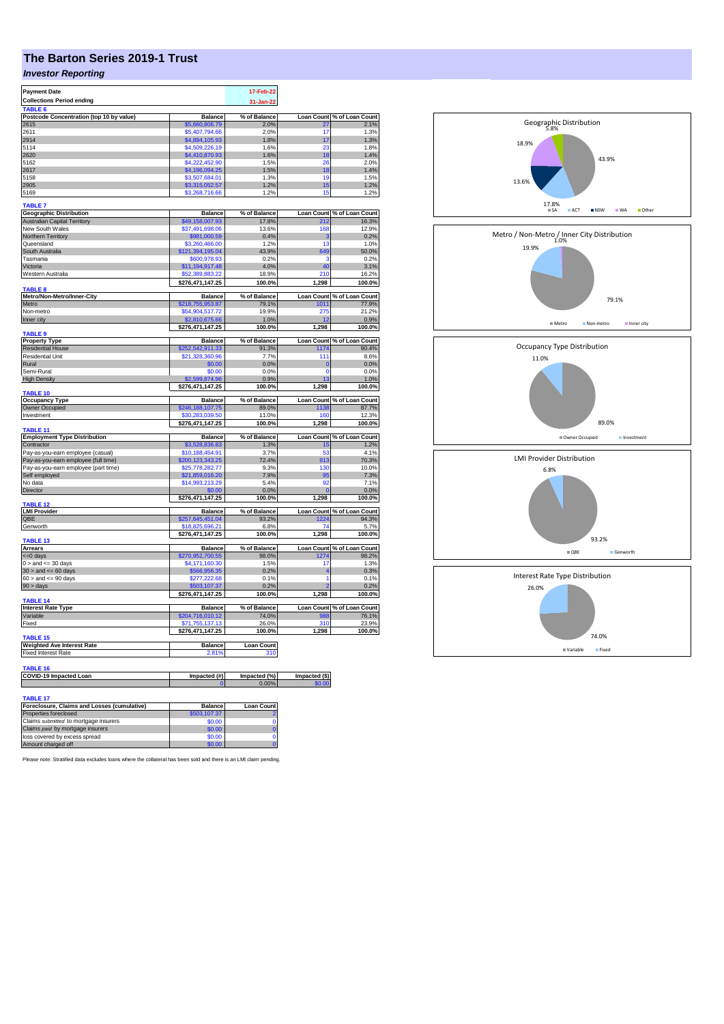## **The Barton Series 2019-1 Trust**

## *Investor Reporting*

| <b>Payment Date</b>                      |                                    | 17-Feb-22         |                   |                                                                                                                                                                                                                                                                             |
|------------------------------------------|------------------------------------|-------------------|-------------------|-----------------------------------------------------------------------------------------------------------------------------------------------------------------------------------------------------------------------------------------------------------------------------|
| <b>Collections Period ending</b>         |                                    | 31-Jan-22         |                   |                                                                                                                                                                                                                                                                             |
| TABLE <sub>6</sub>                       |                                    |                   |                   |                                                                                                                                                                                                                                                                             |
| Postcode Concentration (top 10 by value) | <b>Balance</b>                     | % of Balance      | <b>Loan Count</b> | % of Loan Count                                                                                                                                                                                                                                                             |
| 2615                                     | \$5,660,806.79                     | 2.0%              | 27                | 2.1%                                                                                                                                                                                                                                                                        |
| 2611                                     | \$5,407,794.66                     | 2.0%              | 17                | 1.3%                                                                                                                                                                                                                                                                        |
| 2914                                     | \$4,894,105.93                     | 1.8%              | 17                | 1.3%                                                                                                                                                                                                                                                                        |
| 5114                                     | \$4,509,226.19                     | 1.6%              | 23                | 1.8%                                                                                                                                                                                                                                                                        |
| 2620                                     | \$4,410,870.93                     | 1.6%              | 18                | 1.4%                                                                                                                                                                                                                                                                        |
| 5162                                     | \$4,222,452.90                     | 1.5%              | 26                | 2.0%                                                                                                                                                                                                                                                                        |
| 2617                                     | \$4,196,094.25                     | 1.5%              | 18                | 1.4%                                                                                                                                                                                                                                                                        |
| 5158                                     | \$3,507,684.01                     | 1.3%              | 19                | 1.5%                                                                                                                                                                                                                                                                        |
| 2905                                     | \$3,315,052.57                     | 1.2%<br>1.2%      | 15<br>15          | 1.2%                                                                                                                                                                                                                                                                        |
| 5169                                     | \$3,268,716.66                     |                   |                   | 1.2%                                                                                                                                                                                                                                                                        |
| <b>TABLE 7</b>                           |                                    |                   |                   |                                                                                                                                                                                                                                                                             |
| <b>Geographic Distribution</b>           | <b>Balance</b>                     | % of Balance      | <b>Loan Count</b> | % of Loan Count                                                                                                                                                                                                                                                             |
| <b>Australian Capital Territory</b>      | \$49,158,007.93                    | 17.8%             | 212               | 16.3%                                                                                                                                                                                                                                                                       |
| New South Wales                          | \$37,491,698.06                    | 13.6%             | 168               | 12.9%                                                                                                                                                                                                                                                                       |
| Northern Territory                       | \$981,000.59                       | 0.4%              | s                 | 0.2%                                                                                                                                                                                                                                                                        |
| Queensland                               | \$3,260,466.00                     | 1.2%              | 13                | 1.0%                                                                                                                                                                                                                                                                        |
| South Australia                          | \$121,394,195.04                   | 43.9%             | 649               | 50.0%                                                                                                                                                                                                                                                                       |
| Tasmania                                 | \$600.978.93                       | 0.2%              | з                 | 0.2%                                                                                                                                                                                                                                                                        |
| Victoria                                 | \$11,194,917.48                    | 4.0%              | 40                | 3.1%                                                                                                                                                                                                                                                                        |
| Western Australia                        | \$52,389,883.22                    | 18.9%             | 210               | 16.2%                                                                                                                                                                                                                                                                       |
| <b>TABLE 8</b>                           | \$276,471,147.25                   | 100.0%            | 1,298             | 100.0%                                                                                                                                                                                                                                                                      |
| Metro/Non-Metro/Inner-City               | <b>Balance</b>                     | % of Balance      | <b>Loan Count</b> | % of Loan Count                                                                                                                                                                                                                                                             |
| Metro                                    | \$218,755,953.87                   | 79.1%             | 1011              | 77.9%                                                                                                                                                                                                                                                                       |
| Non-metro                                | \$54,904,517.72                    | 19.9%             | 275               | 21.2%                                                                                                                                                                                                                                                                       |
| Inner city                               | \$2,810,675.66                     | 1.0%              | 12                | 0.9%                                                                                                                                                                                                                                                                        |
|                                          | \$276,471,147.25                   | 100.0%            | 1,298             | 100.0%                                                                                                                                                                                                                                                                      |
| <b>TABLE 9</b>                           |                                    |                   |                   |                                                                                                                                                                                                                                                                             |
| <b>Property Type</b>                     | <b>Balance</b>                     | % of Balance      |                   | Loan Count % of Loan Count                                                                                                                                                                                                                                                  |
| <b>Residential House</b>                 | 252,542,911.33                     | 91.3%             | 1174              | 90.4%                                                                                                                                                                                                                                                                       |
| <b>Residential Unit</b>                  | \$21,328,360.96                    | 7.7%              | 111               | 8.6%                                                                                                                                                                                                                                                                        |
| Rural                                    | \$0.00                             | 0.0%              | $\Omega$          | 0.0%                                                                                                                                                                                                                                                                        |
| Semi-Rural                               | \$0.00                             | 0.0%              | $\mathbf{0}$      | 0.0%                                                                                                                                                                                                                                                                        |
| <b>High Density</b>                      | \$2,599,874.96<br>\$276,471,147.25 | 0.9%<br>100.0%    | 13<br>1,298       | 1.0%<br>100.0%                                                                                                                                                                                                                                                              |
| TABLE 10                                 |                                    |                   |                   |                                                                                                                                                                                                                                                                             |
| <b>Occupancy Type</b>                    | <b>Balance</b>                     | % of Balance      |                   | Loan Count % of Loan Count                                                                                                                                                                                                                                                  |
| Owner Occupied                           | \$246,188,107.75                   | 89.0%             | 1138              | 87.7%                                                                                                                                                                                                                                                                       |
| Investment                               | \$30,283,039,50                    | 11.0%             | 160               | 12.3%                                                                                                                                                                                                                                                                       |
|                                          |                                    |                   |                   |                                                                                                                                                                                                                                                                             |
|                                          | \$276,471,147.25                   | 100.0%            | 1,298             |                                                                                                                                                                                                                                                                             |
| <b>TABLE 11</b>                          |                                    |                   |                   |                                                                                                                                                                                                                                                                             |
| <b>Employment Type Distribution</b>      | <b>Balance</b>                     | % of Balance      |                   |                                                                                                                                                                                                                                                                             |
| Contractor                               | \$3,528,836.83                     | 1.3%              | 15                |                                                                                                                                                                                                                                                                             |
| Pay-as-you-earn employee (casual)        | \$10,188,454.91                    | 3.7%              | 53                |                                                                                                                                                                                                                                                                             |
| Pay-as-you-earn employee (full time)     | \$200,123,343.25                   | 72.4%             | 913               |                                                                                                                                                                                                                                                                             |
| Pay-as-you-earn employee (part time)     | \$25,778,282.77                    | 9.3%              | 130               |                                                                                                                                                                                                                                                                             |
| Self employed                            | \$21,859,016.20                    | 7.9%              | 95                |                                                                                                                                                                                                                                                                             |
| No data                                  | \$14,993,213.29                    | 5.4%              | 92                |                                                                                                                                                                                                                                                                             |
| Director                                 | \$0.00                             | 0.0%              |                   |                                                                                                                                                                                                                                                                             |
| TABLE 12                                 | \$276,471,147.25                   | 100.0%            | 1,298             |                                                                                                                                                                                                                                                                             |
|                                          | <b>Balance</b>                     | % of Balance      | Loan Count        |                                                                                                                                                                                                                                                                             |
| <b>LMI Provider</b><br>QBE               | \$257,645,451.04                   | 93.2%             | 1224              |                                                                                                                                                                                                                                                                             |
| Genworth                                 | \$18,825,696.21                    | 6.8%              | 74                |                                                                                                                                                                                                                                                                             |
|                                          | \$276,471,147.25                   | 100.0%            | 1,298             |                                                                                                                                                                                                                                                                             |
| TABLE 13                                 |                                    |                   |                   |                                                                                                                                                                                                                                                                             |
| <b>Arrears</b>                           | <b>Balance</b>                     | % of Balance      | <b>Loan Count</b> |                                                                                                                                                                                                                                                                             |
| <= 0 days                                | \$270,952,700.55                   | 98.0%             | 1274              |                                                                                                                                                                                                                                                                             |
| $0 >$ and $\leq$ 30 days                 | \$4,171,160.30                     | 1.5%              | 17                |                                                                                                                                                                                                                                                                             |
| $30$ > and <= 60 days                    | \$566,956.35                       | 0.2%              | $\overline{4}$    |                                                                                                                                                                                                                                                                             |
| $60 >$ and $\leq 90$ days                | 277,222.68                         | 0.1%              | 1                 |                                                                                                                                                                                                                                                                             |
| 90 > days                                | \$503,107.37                       | 0.2%              |                   |                                                                                                                                                                                                                                                                             |
| <b>TABLE 14</b>                          | \$276,471,147.25                   | 100.0%            | 1,298             |                                                                                                                                                                                                                                                                             |
| <b>Interest Rate Type</b>                | <b>Balance</b>                     | % of Balance      | <b>Loan Count</b> |                                                                                                                                                                                                                                                                             |
| Variable                                 | \$204,716,010.12                   | 74.0%             | 988               |                                                                                                                                                                                                                                                                             |
| Fixed                                    | \$71,755,137.13                    | 26.0%             | 310               |                                                                                                                                                                                                                                                                             |
|                                          | \$276,471,147.25                   | 100.0%            | 1.298             |                                                                                                                                                                                                                                                                             |
| <b>TABLE 15</b>                          |                                    |                   |                   |                                                                                                                                                                                                                                                                             |
| <b>Weighted Ave Interest Rate</b>        | <b>Balance</b>                     | <b>Loan Count</b> |                   |                                                                                                                                                                                                                                                                             |
| <b>Fixed Interest Rate</b>               | 2.81%                              | 310               |                   |                                                                                                                                                                                                                                                                             |
|                                          |                                    |                   |                   |                                                                                                                                                                                                                                                                             |
| <b>TABLE 16</b>                          |                                    |                   |                   |                                                                                                                                                                                                                                                                             |
| COVID-19 Impacted Loan                   | Impacted (#)                       | Impacted (%)      | Impacted (\$)     |                                                                                                                                                                                                                                                                             |
|                                          |                                    | 0.00%             |                   | 100.0%<br>Loan Count % of Loan Count<br>1.2%<br>4.1%<br>70.3%<br>10.0%<br>7.3%<br>7.1%<br>0.0%<br>100.0%<br>% of Loan Count<br>94.3%<br>5.7%<br>100.0%<br>% of Loan Count<br>98.2%<br>1.3%<br>0.3%<br>0.1%<br>0.2%<br>100.0%<br>% of Loan Count<br>76.1%<br>23.9%<br>100.0% |
| <b>TABLE 17</b>                          |                                    |                   |                   |                                                                                                                                                                                                                                                                             |

| Foreclosure, Claims and Losses (cumulative) | <b>Balance</b> | <b>Loan Count</b> |
|---------------------------------------------|----------------|-------------------|
| Properties foreclosed                       | \$503.107.37   |                   |
| Claims submitted to mortgage insurers       | \$0.00         |                   |
| Claims paid by mortgage insurers            | \$0.00         |                   |
| loss covered by excess spread               | \$0.00         |                   |
| Amount charged off                          | \$0.00         |                   |

Please note: Stratified data excludes loans where the collateral has been sold and there is an LMI claim pending.